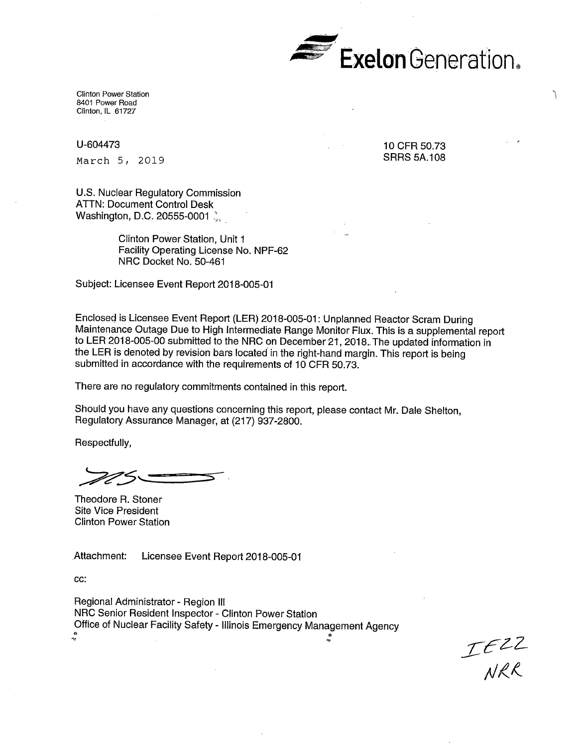

Clinton Power Station 8401 Power Road Clinton, IL 61727

U-604473

March 5, 2019

10 CFR 50.73 SRRS 5A.108

U.S. Nuclear Regulatory Commission ATTN: Document Control Desk Washington, D.C. 20555-0001

> Clinton Power Station, Unit 1 Facility Operating License No. NPF-62 NRC Docket No. 50-461

Subject: Licensee Event Report 2018-005-01

Encloseq is Licensee Event Report (LER) 2018-005-01: Unplanned Reactor Scram During Maintenance Outage Due to High Intermediate Range Monitor Flux. This is a supplemental report to LER 2018-005-00 submitted to the NRC on December 21, 2018. The updated information in the LER is denoted by revision bars located in the right-hand margin. This report is being submitted in accordance with the requirements of  $10$  CFR 50.73.

There are no regulatory commitments contained in this report.

Should you have any questions concerning this report, please contact Mr. Dale Shelton, Regulatory Assurance Manager, at (217) 937-2800.

Respectfully,

Theodore R. Stoner Site Vice President Clinton Power Station

Attachment: Licensee Event Report 2018-005-01

**cc:** 

Regional Administrator - Region Ill NRC Senior Resident Inspector - Clinton Power Station Office of Nuclear Facility Safety - Illinois Emergency Management Agency  $\qquad \qquad \circ$ ~

 $TE22$ <br>NRR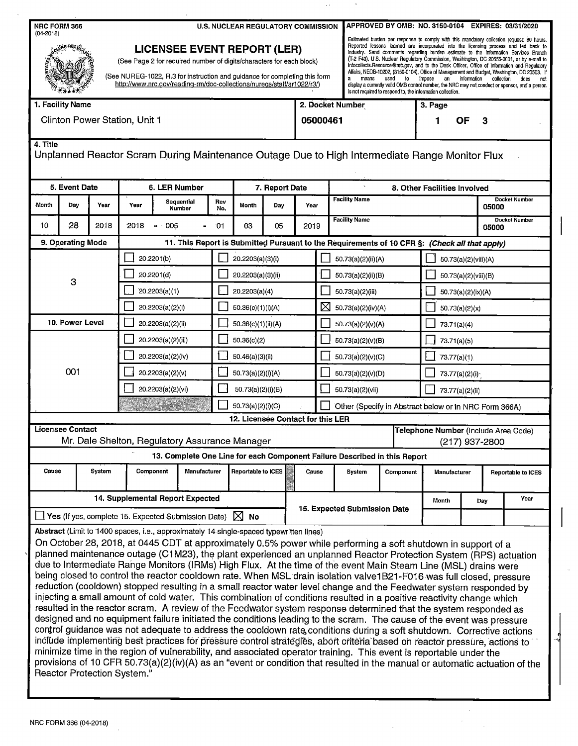| NRC FORM 366<br>$(04 - 2018)$                                                                             |                                  |                             |                                   |                                                                                                                                                                                                                                                                                                                                                                                                                                                                                                                                                                                                                                                                                                                                                                                                                                                                                                                                                                                                                                                                                                                                                                                                                                                                                                                                                                                                                                                                                   |                    | <b>U.S. NUCLEAR REGULATORY COMMISSION</b>                                                                                                                                                                                                                          |                   |                              |                         | APPROVED BY OMB: NO. 3150-0104 EXPIRES: 03/31/2020                                                                                                                                                                                                                                                                                                                                                                                                                                                                                                                                                                                                                                                                                                                                                          |                                                                                               |                                      |                                                       |                    |      |  |
|-----------------------------------------------------------------------------------------------------------|----------------------------------|-----------------------------|-----------------------------------|-----------------------------------------------------------------------------------------------------------------------------------------------------------------------------------------------------------------------------------------------------------------------------------------------------------------------------------------------------------------------------------------------------------------------------------------------------------------------------------------------------------------------------------------------------------------------------------------------------------------------------------------------------------------------------------------------------------------------------------------------------------------------------------------------------------------------------------------------------------------------------------------------------------------------------------------------------------------------------------------------------------------------------------------------------------------------------------------------------------------------------------------------------------------------------------------------------------------------------------------------------------------------------------------------------------------------------------------------------------------------------------------------------------------------------------------------------------------------------------|--------------------|--------------------------------------------------------------------------------------------------------------------------------------------------------------------------------------------------------------------------------------------------------------------|-------------------|------------------------------|-------------------------|-------------------------------------------------------------------------------------------------------------------------------------------------------------------------------------------------------------------------------------------------------------------------------------------------------------------------------------------------------------------------------------------------------------------------------------------------------------------------------------------------------------------------------------------------------------------------------------------------------------------------------------------------------------------------------------------------------------------------------------------------------------------------------------------------------------|-----------------------------------------------------------------------------------------------|--------------------------------------|-------------------------------------------------------|--------------------|------|--|
|                                                                                                           |                                  |                             |                                   |                                                                                                                                                                                                                                                                                                                                                                                                                                                                                                                                                                                                                                                                                                                                                                                                                                                                                                                                                                                                                                                                                                                                                                                                                                                                                                                                                                                                                                                                                   |                    | <b>LICENSEE EVENT REPORT (LER)</b><br>(See Page 2 for required number of digits/characters for each block)<br>(See NUREG-1022, R.3 for instruction and guidance for completing this form<br>http://www.nrc.gov/reading-rm/doc-collections/nuregs/staff/sr1022/r3/) |                   |                              |                         | Estimated burden per response to comply with this mandatory collection request: 80 hours.<br>Reported lessons learned are incorporated into the licensing process and fed back to<br>industry. Send comments regarding burden estimate to the Information Services Branch<br>(T-2 F43), U.S. Nuclear Regulatory Commission, Washington, DC 20555-0001, or by e-mail to<br>Infocollects.Resource@nrc.gov, and to the Desk Officer, Office of Information and Regulatory<br>Affairs, NEOB-10202, (3150-0104), Office of Management and Budget, Washington, DC 20503. If<br>means used to impose an information<br>a<br>collection<br>does not<br>display a currently valid OMB control number, the NRC may not conduct or sponsor, and a person<br>is not required to respond to, the information collection. |                                                                                               |                                      |                                                       |                    |      |  |
|                                                                                                           | 1. Facility Name                 |                             |                                   |                                                                                                                                                                                                                                                                                                                                                                                                                                                                                                                                                                                                                                                                                                                                                                                                                                                                                                                                                                                                                                                                                                                                                                                                                                                                                                                                                                                                                                                                                   |                    |                                                                                                                                                                                                                                                                    |                   | 2. Docket Number             |                         |                                                                                                                                                                                                                                                                                                                                                                                                                                                                                                                                                                                                                                                                                                                                                                                                             |                                                                                               | 3. Page                              |                                                       |                    |      |  |
| Clinton Power Station, Unit 1                                                                             |                                  |                             |                                   |                                                                                                                                                                                                                                                                                                                                                                                                                                                                                                                                                                                                                                                                                                                                                                                                                                                                                                                                                                                                                                                                                                                                                                                                                                                                                                                                                                                                                                                                                   |                    |                                                                                                                                                                                                                                                                    |                   | 05000461                     |                         |                                                                                                                                                                                                                                                                                                                                                                                                                                                                                                                                                                                                                                                                                                                                                                                                             |                                                                                               | OF<br>3                              |                                                       |                    |      |  |
| 4. Title<br>Unplanned Reactor Scram During Maintenance Outage Due to High Intermediate Range Monitor Flux |                                  |                             |                                   |                                                                                                                                                                                                                                                                                                                                                                                                                                                                                                                                                                                                                                                                                                                                                                                                                                                                                                                                                                                                                                                                                                                                                                                                                                                                                                                                                                                                                                                                                   |                    |                                                                                                                                                                                                                                                                    |                   |                              |                         |                                                                                                                                                                                                                                                                                                                                                                                                                                                                                                                                                                                                                                                                                                                                                                                                             |                                                                                               |                                      |                                                       |                    |      |  |
|                                                                                                           | 5. Event Date                    |                             |                                   | 6. LER Number                                                                                                                                                                                                                                                                                                                                                                                                                                                                                                                                                                                                                                                                                                                                                                                                                                                                                                                                                                                                                                                                                                                                                                                                                                                                                                                                                                                                                                                                     | 7. Report Date     |                                                                                                                                                                                                                                                                    |                   | 8. Other Facilities Involved |                         |                                                                                                                                                                                                                                                                                                                                                                                                                                                                                                                                                                                                                                                                                                                                                                                                             |                                                                                               |                                      |                                                       |                    |      |  |
| Month                                                                                                     | Day                              | Year                        | Year                              | Sequential<br>Number                                                                                                                                                                                                                                                                                                                                                                                                                                                                                                                                                                                                                                                                                                                                                                                                                                                                                                                                                                                                                                                                                                                                                                                                                                                                                                                                                                                                                                                              | Rev<br>No.         | Month                                                                                                                                                                                                                                                              | Day               | Year                         | <b>Facility Name</b>    |                                                                                                                                                                                                                                                                                                                                                                                                                                                                                                                                                                                                                                                                                                                                                                                                             |                                                                                               |                                      | <b>Docket Number</b><br>05000                         |                    |      |  |
| 10                                                                                                        | 28                               | 2018                        | 2018                              | $-005$                                                                                                                                                                                                                                                                                                                                                                                                                                                                                                                                                                                                                                                                                                                                                                                                                                                                                                                                                                                                                                                                                                                                                                                                                                                                                                                                                                                                                                                                            | 01                 | 03                                                                                                                                                                                                                                                                 | 05                | 2019                         |                         | <b>Facility Name</b><br><b>Docket Number</b><br>05000                                                                                                                                                                                                                                                                                                                                                                                                                                                                                                                                                                                                                                                                                                                                                       |                                                                                               |                                      |                                                       |                    |      |  |
|                                                                                                           | 9. Operating Mode                |                             |                                   |                                                                                                                                                                                                                                                                                                                                                                                                                                                                                                                                                                                                                                                                                                                                                                                                                                                                                                                                                                                                                                                                                                                                                                                                                                                                                                                                                                                                                                                                                   |                    |                                                                                                                                                                                                                                                                    |                   |                              |                         |                                                                                                                                                                                                                                                                                                                                                                                                                                                                                                                                                                                                                                                                                                                                                                                                             | 11. This Report is Submitted Pursuant to the Requirements of 10 CFR §: (Check all that apply) |                                      |                                                       |                    |      |  |
|                                                                                                           |                                  |                             | 20.2201(b)                        |                                                                                                                                                                                                                                                                                                                                                                                                                                                                                                                                                                                                                                                                                                                                                                                                                                                                                                                                                                                                                                                                                                                                                                                                                                                                                                                                                                                                                                                                                   |                    | 20.2203(a)(3)(i)                                                                                                                                                                                                                                                   |                   |                              |                         |                                                                                                                                                                                                                                                                                                                                                                                                                                                                                                                                                                                                                                                                                                                                                                                                             | 50.73(a)(2)(ii)(A)                                                                            |                                      | 50.73(a)(2)(viii)(A)                                  |                    |      |  |
|                                                                                                           |                                  |                             | 20.2201(d)                        |                                                                                                                                                                                                                                                                                                                                                                                                                                                                                                                                                                                                                                                                                                                                                                                                                                                                                                                                                                                                                                                                                                                                                                                                                                                                                                                                                                                                                                                                                   |                    | 20.2203(a)(3)(ii)                                                                                                                                                                                                                                                  |                   |                              |                         |                                                                                                                                                                                                                                                                                                                                                                                                                                                                                                                                                                                                                                                                                                                                                                                                             | 50.73(a)(2)(ii)(B)                                                                            |                                      | 50.73(a)(2)(viii)(B)                                  |                    |      |  |
|                                                                                                           | 3                                |                             | 20.2203(a)(1)                     |                                                                                                                                                                                                                                                                                                                                                                                                                                                                                                                                                                                                                                                                                                                                                                                                                                                                                                                                                                                                                                                                                                                                                                                                                                                                                                                                                                                                                                                                                   |                    | 20.2203(a)(4)                                                                                                                                                                                                                                                      |                   |                              |                         | 50.73(a)(2)(iii)                                                                                                                                                                                                                                                                                                                                                                                                                                                                                                                                                                                                                                                                                                                                                                                            |                                                                                               | $-50.73(a)(2)(ix)(A)$                |                                                       |                    |      |  |
|                                                                                                           |                                  |                             | 20.2203(a)(2)(i)                  |                                                                                                                                                                                                                                                                                                                                                                                                                                                                                                                                                                                                                                                                                                                                                                                                                                                                                                                                                                                                                                                                                                                                                                                                                                                                                                                                                                                                                                                                                   |                    | 50.36(c)(1)(i)(A)                                                                                                                                                                                                                                                  |                   |                              | ⊠<br>50.73(a)(2)(iv)(A) |                                                                                                                                                                                                                                                                                                                                                                                                                                                                                                                                                                                                                                                                                                                                                                                                             |                                                                                               | 50.73(a)(2)(x)                       |                                                       |                    |      |  |
|                                                                                                           | 10. Power Level                  |                             | 20.2203(a)(2)(ii)                 |                                                                                                                                                                                                                                                                                                                                                                                                                                                                                                                                                                                                                                                                                                                                                                                                                                                                                                                                                                                                                                                                                                                                                                                                                                                                                                                                                                                                                                                                                   |                    | 50.36(c)(1)(ii)(A)                                                                                                                                                                                                                                                 |                   |                              | 50.73(a)(2)(v)(A)       |                                                                                                                                                                                                                                                                                                                                                                                                                                                                                                                                                                                                                                                                                                                                                                                                             |                                                                                               | 73.71(a)(4)                          |                                                       |                    |      |  |
|                                                                                                           |                                  |                             | 20.2203(a)(2)(iii)<br>50.36(c)(2) |                                                                                                                                                                                                                                                                                                                                                                                                                                                                                                                                                                                                                                                                                                                                                                                                                                                                                                                                                                                                                                                                                                                                                                                                                                                                                                                                                                                                                                                                                   |                    |                                                                                                                                                                                                                                                                    | 50.73(a)(2)(v)(B) |                              |                         |                                                                                                                                                                                                                                                                                                                                                                                                                                                                                                                                                                                                                                                                                                                                                                                                             | 73.71(a)(5)                                                                                   |                                      |                                                       |                    |      |  |
|                                                                                                           |                                  |                             | 20.2203(a)(2)(iv)                 |                                                                                                                                                                                                                                                                                                                                                                                                                                                                                                                                                                                                                                                                                                                                                                                                                                                                                                                                                                                                                                                                                                                                                                                                                                                                                                                                                                                                                                                                                   |                    | 50.46(a)(3)(ii)                                                                                                                                                                                                                                                    |                   |                              | 50.73(a)(2)(v)(C)       |                                                                                                                                                                                                                                                                                                                                                                                                                                                                                                                                                                                                                                                                                                                                                                                                             |                                                                                               | 73.77(a)(1)                          |                                                       |                    |      |  |
|                                                                                                           | 001                              |                             |                                   | 20.2203(a)(2)(v)                                                                                                                                                                                                                                                                                                                                                                                                                                                                                                                                                                                                                                                                                                                                                                                                                                                                                                                                                                                                                                                                                                                                                                                                                                                                                                                                                                                                                                                                  |                    |                                                                                                                                                                                                                                                                    | 50.73(a)(2)(i)(A) |                              |                         | 50.73(a)(2)(v)(D)                                                                                                                                                                                                                                                                                                                                                                                                                                                                                                                                                                                                                                                                                                                                                                                           |                                                                                               |                                      | 73.77(a)(2)(i)                                        |                    |      |  |
|                                                                                                           |                                  |                             | 20.2203(a)(2)(vi)                 |                                                                                                                                                                                                                                                                                                                                                                                                                                                                                                                                                                                                                                                                                                                                                                                                                                                                                                                                                                                                                                                                                                                                                                                                                                                                                                                                                                                                                                                                                   |                    | 50.73(a)(2)(i)(B)                                                                                                                                                                                                                                                  |                   |                              | 50.73(a)(2)(vii)        |                                                                                                                                                                                                                                                                                                                                                                                                                                                                                                                                                                                                                                                                                                                                                                                                             |                                                                                               | 73.77(a)(2)(ii)                      |                                                       |                    |      |  |
|                                                                                                           |                                  |                             |                                   |                                                                                                                                                                                                                                                                                                                                                                                                                                                                                                                                                                                                                                                                                                                                                                                                                                                                                                                                                                                                                                                                                                                                                                                                                                                                                                                                                                                                                                                                                   |                    |                                                                                                                                                                                                                                                                    | 50.73(a)(2)(i)(C) |                              |                         |                                                                                                                                                                                                                                                                                                                                                                                                                                                                                                                                                                                                                                                                                                                                                                                                             |                                                                                               |                                      | Other (Specify in Abstract below or in NRC Form 366A) |                    |      |  |
|                                                                                                           |                                  |                             |                                   |                                                                                                                                                                                                                                                                                                                                                                                                                                                                                                                                                                                                                                                                                                                                                                                                                                                                                                                                                                                                                                                                                                                                                                                                                                                                                                                                                                                                                                                                                   |                    | 12. Licensee Contact for this LER                                                                                                                                                                                                                                  |                   |                              |                         |                                                                                                                                                                                                                                                                                                                                                                                                                                                                                                                                                                                                                                                                                                                                                                                                             |                                                                                               |                                      |                                                       |                    |      |  |
| <b>Licensee Contact</b>                                                                                   |                                  |                             |                                   | Mr. Dale Shelton, Regulatory Assurance Manager                                                                                                                                                                                                                                                                                                                                                                                                                                                                                                                                                                                                                                                                                                                                                                                                                                                                                                                                                                                                                                                                                                                                                                                                                                                                                                                                                                                                                                    |                    |                                                                                                                                                                                                                                                                    |                   |                              |                         |                                                                                                                                                                                                                                                                                                                                                                                                                                                                                                                                                                                                                                                                                                                                                                                                             |                                                                                               | Telephone Number (Include Area Code) | (217) 937-2800                                        |                    |      |  |
|                                                                                                           |                                  |                             |                                   | 13. Complete One Line for each Component Failure Described in this Report                                                                                                                                                                                                                                                                                                                                                                                                                                                                                                                                                                                                                                                                                                                                                                                                                                                                                                                                                                                                                                                                                                                                                                                                                                                                                                                                                                                                         |                    |                                                                                                                                                                                                                                                                    |                   |                              |                         |                                                                                                                                                                                                                                                                                                                                                                                                                                                                                                                                                                                                                                                                                                                                                                                                             |                                                                                               |                                      |                                                       |                    |      |  |
|                                                                                                           | System<br>Cause                  |                             | Manufacturer<br>Component         |                                                                                                                                                                                                                                                                                                                                                                                                                                                                                                                                                                                                                                                                                                                                                                                                                                                                                                                                                                                                                                                                                                                                                                                                                                                                                                                                                                                                                                                                                   | Reportable to ICES |                                                                                                                                                                                                                                                                    | Cause             |                              | <b>System</b>           | Component                                                                                                                                                                                                                                                                                                                                                                                                                                                                                                                                                                                                                                                                                                                                                                                                   | Manufacturer                                                                                  |                                      |                                                       | Reportable to ICES |      |  |
|                                                                                                           | 14. Supplemental Report Expected |                             |                                   |                                                                                                                                                                                                                                                                                                                                                                                                                                                                                                                                                                                                                                                                                                                                                                                                                                                                                                                                                                                                                                                                                                                                                                                                                                                                                                                                                                                                                                                                                   |                    |                                                                                                                                                                                                                                                                    |                   |                              |                         |                                                                                                                                                                                                                                                                                                                                                                                                                                                                                                                                                                                                                                                                                                                                                                                                             |                                                                                               |                                      | Day                                                   |                    | Year |  |
| Yes (if yes, complete 15. Expected Submission Date) $\boxtimes$ No                                        |                                  |                             |                                   |                                                                                                                                                                                                                                                                                                                                                                                                                                                                                                                                                                                                                                                                                                                                                                                                                                                                                                                                                                                                                                                                                                                                                                                                                                                                                                                                                                                                                                                                                   |                    |                                                                                                                                                                                                                                                                    |                   |                              |                         | 15. Expected Submission Date                                                                                                                                                                                                                                                                                                                                                                                                                                                                                                                                                                                                                                                                                                                                                                                |                                                                                               |                                      |                                                       |                    |      |  |
|                                                                                                           |                                  |                             |                                   | Abstract (Limit to 1400 spaces, i.e., approximately 14 single-spaced typewritten lines)                                                                                                                                                                                                                                                                                                                                                                                                                                                                                                                                                                                                                                                                                                                                                                                                                                                                                                                                                                                                                                                                                                                                                                                                                                                                                                                                                                                           |                    |                                                                                                                                                                                                                                                                    |                   |                              |                         |                                                                                                                                                                                                                                                                                                                                                                                                                                                                                                                                                                                                                                                                                                                                                                                                             |                                                                                               |                                      |                                                       |                    |      |  |
|                                                                                                           |                                  | Reactor Protection System." |                                   | On October 28, 2018, at 0445 CDT at approximately 0.5% power while performing a soft shutdown in support of a<br>planned maintenance outage (C1M23), the plant experienced an unplanned Reactor Protection System (RPS) actuation<br>due to Intermediate Range Monitors (IRMs) High Flux. At the time of the event Main Steam Line (MSL) drains were<br>being closed to control the reactor cooldown rate. When MSL drain isolation valve1B21-F016 was full closed, pressure<br>reduction (cooldown) stopped resulting in a small reactor water level change and the Feedwater system responded by<br>injecting a small amount of cold water. This combination of conditions resulted in a positive reactivity change which<br>resulted in the reactor scram. A review of the Feedwater system response determined that the system responded as<br>designed and no equipment failure initiated the conditions leading to the scram. The cause of the event was pressure<br>control guidance was not adequate to address the cooldown rate conditions during a soft shutdown. Corrective actions<br>include implementing best practices for pressure control strategies, abort criteria based on reactor pressure, actions to<br>minimize time in the region of vulnerability, and associated operator training. This event is reportable under the<br>provisions of 10 CFR 50.73(a)(2)(iv)(A) as an "event or condition that resulted in the manual or automatic actuation of the |                    |                                                                                                                                                                                                                                                                    |                   |                              |                         |                                                                                                                                                                                                                                                                                                                                                                                                                                                                                                                                                                                                                                                                                                                                                                                                             |                                                                                               |                                      |                                                       |                    |      |  |

 $\sim$ 

 $\hat{\mathcal{A}}$ 

 $\bar{\tau}$  .

 $\ddot{\phantom{a}}$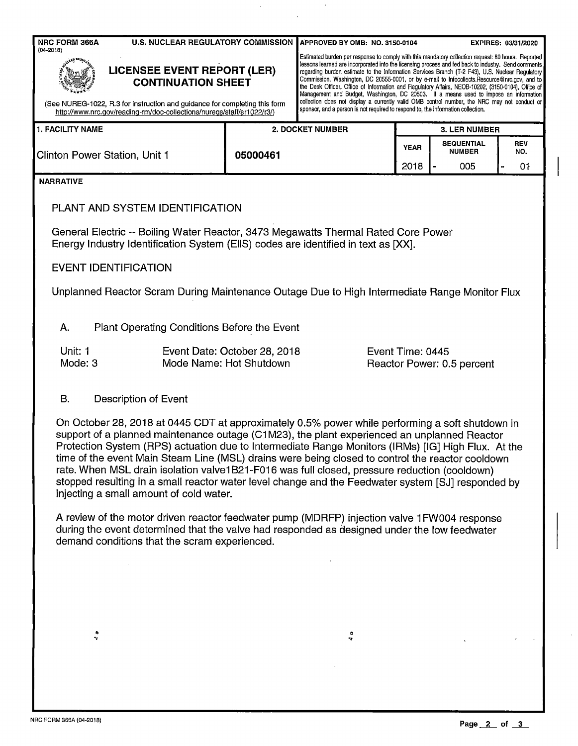| <b>NRC FORM 366A</b>                                                                                                                                                                                                                                                                                                                                                                                                                                                                                                                                                                                                                                      |                                                                                                           | U.S. NUCLEAR REGULATORY COMMISSION APPROVED BY OMB: NO. 3150-0104 |                                                                                                                                                                                                                                                                                                                                                                                                                                                                                                                                                                                                              |                                           | EXPIRES: 03/31/2020     |  |  |  |  |  |  |
|-----------------------------------------------------------------------------------------------------------------------------------------------------------------------------------------------------------------------------------------------------------------------------------------------------------------------------------------------------------------------------------------------------------------------------------------------------------------------------------------------------------------------------------------------------------------------------------------------------------------------------------------------------------|-----------------------------------------------------------------------------------------------------------|-------------------------------------------------------------------|--------------------------------------------------------------------------------------------------------------------------------------------------------------------------------------------------------------------------------------------------------------------------------------------------------------------------------------------------------------------------------------------------------------------------------------------------------------------------------------------------------------------------------------------------------------------------------------------------------------|-------------------------------------------|-------------------------|--|--|--|--|--|--|
| $(04 - 2018)$<br><b>LICENSEE EVENT REPORT (LER)</b><br><b>CONTINUATION SHEET</b>                                                                                                                                                                                                                                                                                                                                                                                                                                                                                                                                                                          |                                                                                                           |                                                                   | Estimated burden per response to comply with this mandatory collection request: 80 hours. Reported<br>lessons learned are incorporated into the licensing process and fed back to industry. Send comments<br>regarding burden estimate to the information Services Branch (T-2 F43), U.S. Nuclear Regulatory<br>Commission, Washington, DC 20555-0001, or by e-mail to Infocollects. Resource@nrc.gov, and to<br>the Desk Officer, Office of Information and Regulatory Affairs, NEOB-10202, (3150-0104), Office of<br>Management and Budget, Washington, DC 20503. If a means used to impose an information |                                           |                         |  |  |  |  |  |  |
| collection does not display a currently valid OMB control number, the NRC may not conduct or<br>(See NUREG-1022, R.3 for instruction and guidance for completing this form<br>sponsor, and a person is not required to respond to, the information collection.<br>http://www.nrc.gov/reading-rm/doc-collections/nuregs/staff/sr1022/r3/)                                                                                                                                                                                                                                                                                                                  |                                                                                                           |                                                                   |                                                                                                                                                                                                                                                                                                                                                                                                                                                                                                                                                                                                              |                                           |                         |  |  |  |  |  |  |
| <b>1. FACILITY NAME</b>                                                                                                                                                                                                                                                                                                                                                                                                                                                                                                                                                                                                                                   |                                                                                                           | <b>2. DOCKET NUMBER</b>                                           | <b>3. LER NUMBER</b>                                                                                                                                                                                                                                                                                                                                                                                                                                                                                                                                                                                         |                                           |                         |  |  |  |  |  |  |
| Clinton Power Station, Unit 1                                                                                                                                                                                                                                                                                                                                                                                                                                                                                                                                                                                                                             | 05000461                                                                                                  |                                                                   | <b>YEAR</b><br>2018                                                                                                                                                                                                                                                                                                                                                                                                                                                                                                                                                                                          | <b>SEQUENTIAL</b><br><b>NUMBER</b><br>005 | <b>REV</b><br>NO.<br>01 |  |  |  |  |  |  |
| <b>NARRATIVE</b>                                                                                                                                                                                                                                                                                                                                                                                                                                                                                                                                                                                                                                          |                                                                                                           |                                                                   |                                                                                                                                                                                                                                                                                                                                                                                                                                                                                                                                                                                                              |                                           |                         |  |  |  |  |  |  |
| PLANT AND SYSTEM IDENTIFICATION                                                                                                                                                                                                                                                                                                                                                                                                                                                                                                                                                                                                                           |                                                                                                           |                                                                   |                                                                                                                                                                                                                                                                                                                                                                                                                                                                                                                                                                                                              |                                           |                         |  |  |  |  |  |  |
| General Electric -- Boiling Water Reactor, 3473 Megawatts Thermal Rated Core Power<br>Energy Industry Identification System (EIIS) codes are identified in text as [XX].                                                                                                                                                                                                                                                                                                                                                                                                                                                                                  |                                                                                                           |                                                                   |                                                                                                                                                                                                                                                                                                                                                                                                                                                                                                                                                                                                              |                                           |                         |  |  |  |  |  |  |
| <b>EVENT IDENTIFICATION</b>                                                                                                                                                                                                                                                                                                                                                                                                                                                                                                                                                                                                                               |                                                                                                           |                                                                   |                                                                                                                                                                                                                                                                                                                                                                                                                                                                                                                                                                                                              |                                           |                         |  |  |  |  |  |  |
| Unplanned Reactor Scram During Maintenance Outage Due to High Intermediate Range Monitor Flux                                                                                                                                                                                                                                                                                                                                                                                                                                                                                                                                                             |                                                                                                           |                                                                   |                                                                                                                                                                                                                                                                                                                                                                                                                                                                                                                                                                                                              |                                           |                         |  |  |  |  |  |  |
| A.<br>Plant Operating Conditions Before the Event                                                                                                                                                                                                                                                                                                                                                                                                                                                                                                                                                                                                         |                                                                                                           |                                                                   |                                                                                                                                                                                                                                                                                                                                                                                                                                                                                                                                                                                                              |                                           |                         |  |  |  |  |  |  |
| Unit: 1<br>Mode: 3                                                                                                                                                                                                                                                                                                                                                                                                                                                                                                                                                                                                                                        | Event Date: October 28, 2018<br>Event Time: 0445<br>Mode Name: Hot Shutdown<br>Reactor Power: 0.5 percent |                                                                   |                                                                                                                                                                                                                                                                                                                                                                                                                                                                                                                                                                                                              |                                           |                         |  |  |  |  |  |  |
| В.<br>Description of Event                                                                                                                                                                                                                                                                                                                                                                                                                                                                                                                                                                                                                                |                                                                                                           |                                                                   |                                                                                                                                                                                                                                                                                                                                                                                                                                                                                                                                                                                                              |                                           |                         |  |  |  |  |  |  |
| On October 28, 2018 at 0445 CDT at approximately 0.5% power while performing a soft shutdown in<br>support of a planned maintenance outage (C1M23), the plant experienced an unplanned Reactor<br>Protection System (RPS) actuation due to Intermediate Range Monitors (IRMs) [IG] High Flux. At the<br>time of the event Main Steam Line (MSL) drains were being closed to control the reactor cooldown<br>rate. When MSL drain isolation valve1B21-F016 was full closed, pressure reduction (cooldown)<br>stopped resulting in a small reactor water level change and the Feedwater system [SJ] responded by<br>injecting a small amount of cold water. |                                                                                                           |                                                                   |                                                                                                                                                                                                                                                                                                                                                                                                                                                                                                                                                                                                              |                                           |                         |  |  |  |  |  |  |
| A review of the motor driven reactor feedwater pump (MDRFP) injection valve 1FW004 response<br>during the event determined that the valve had responded as designed under the low feedwater<br>demand conditions that the scram experienced.                                                                                                                                                                                                                                                                                                                                                                                                              |                                                                                                           |                                                                   |                                                                                                                                                                                                                                                                                                                                                                                                                                                                                                                                                                                                              |                                           |                         |  |  |  |  |  |  |
|                                                                                                                                                                                                                                                                                                                                                                                                                                                                                                                                                                                                                                                           |                                                                                                           |                                                                   |                                                                                                                                                                                                                                                                                                                                                                                                                                                                                                                                                                                                              |                                           |                         |  |  |  |  |  |  |
|                                                                                                                                                                                                                                                                                                                                                                                                                                                                                                                                                                                                                                                           |                                                                                                           |                                                                   |                                                                                                                                                                                                                                                                                                                                                                                                                                                                                                                                                                                                              |                                           |                         |  |  |  |  |  |  |

 $\mathcal{L}$ 

 $\hat{\mathbf{r}}$ 

 $\bar{\bar{z}}$ 

 $\ddot{\phantom{a}}$